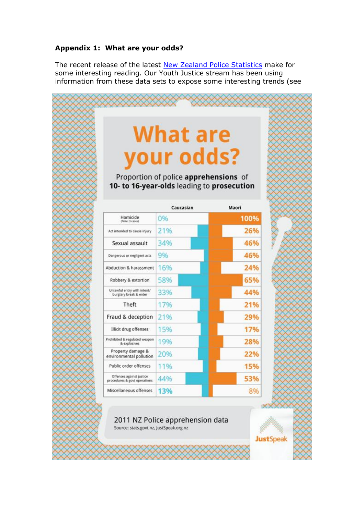## **Appendix 1: What are your odds?**

The recent release of the latest [New Zealand Police Statistics](http://www.stats.govt.nz/tools_and_services/tools/tablebuilder/recorded-crime-statistics.aspx) make for some interesting reading. Our Youth Justice stream has been using information from these data sets to expose some interesting trends (see

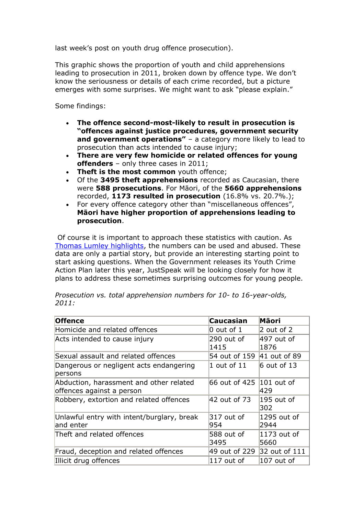last week's post on [youth drug offence prosecution\)](http://justspeak.org.nz/drug-offences-and-prosecution/).

This graphic shows the proportion of youth and child apprehensions leading to prosecution in 2011, broken down by offence type. We don't know the seriousness or details of each crime recorded, but a picture emerges with some surprises. We might want to ask "please explain."

Some findings:

- **The offence second-most-likely to result in prosecution is "offences against justice procedures, government security and government operations"** – a category more likely to lead to prosecution than acts intended to cause injury;
- **There are very few homicide or related offences for young offenders** – only three cases in 2011;
- **Theft is the most common** youth offence;
- Of the **3495 theft apprehensions** recorded as Caucasian, there were **588 prosecutions**. For Māori, of the **5660 apprehensions** recorded, **1173 resulted in prosecution** (16.8% vs. 20.7%.);
- For every offence category other than "miscellaneous offences", **Māori have higher proportion of apprehensions leading to prosecution**.

Of course it is important to approach these statistics with caution. As [Thomas Lumley highlights,](http://www.statschat.org.nz/2013/04/03/crime-news-vs-crime-data/) the numbers can be used and abused. These data are only a partial story, but provide an interesting starting point to start asking questions. When the Government releases its Youth Crime Action Plan later this year, JustSpeak will be looking closely for how it plans to address these sometimes surprising outcomes for young people.

| <b>Offence</b>                                                       | Caucasian                | Māori                 |
|----------------------------------------------------------------------|--------------------------|-----------------------|
| Homicide and related offences                                        | $0$ out of $1$           | $2$ out of 2          |
| Acts intended to cause injury                                        | 290 out of<br>1415       | 497 out of<br>1876    |
| Sexual assault and related offences                                  | 54 out of 159            | $ 41$ out of 89       |
| Dangerous or negligent acts endangering<br>persons                   | 1 out of 11              | $6$ out of 13         |
| Abduction, harassment and other related<br>offences against a person | 66 out of 425 101 out of | 429                   |
| Robbery, extortion and related offences                              | 42 out of 73             | $195$ out of<br>302   |
| Unlawful entry with intent/burglary, break<br>and enter              | $317$ out of<br>954      | 1295 out of<br>2944   |
| Theft and related offences                                           | 588 out of<br>3495       | $1173$ out of<br>5660 |
| Fraud, deception and related offences                                | 49 out of 229            | 32 out of 111         |
| Illicit drug offences                                                | 117 out of               | $ 107$ out of         |

*Prosecution vs. total apprehension numbers for 10- to 16-year-olds, 2011:*